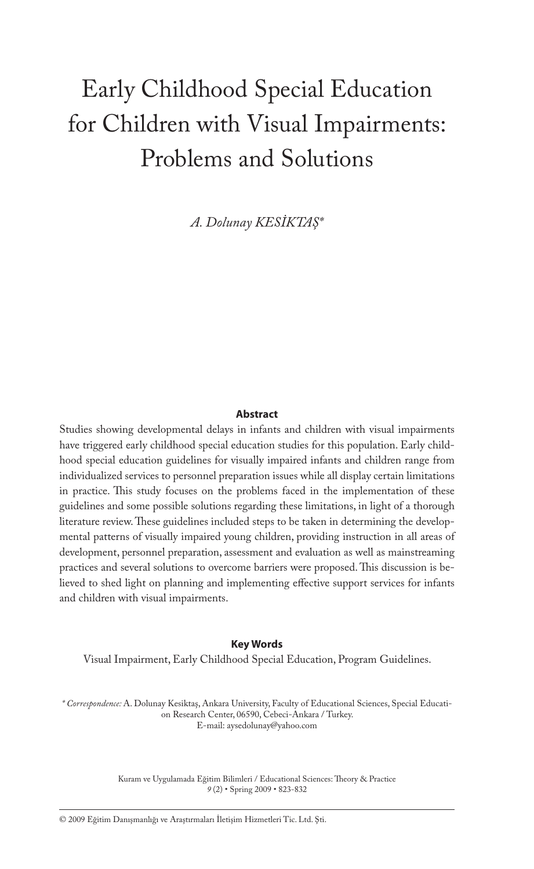# Early Childhood Special Education for Children with Visual Impairments: Problems and Solutions

*A. Dolunay KESİKTAŞ\**

#### **Abstract**

Studies showing developmental delays in infants and children with visual impairments have triggered early childhood special education studies for this population. Early childhood special education guidelines for visually impaired infants and children range from individualized services to personnel preparation issues while all display certain limitations in practice. This study focuses on the problems faced in the implementation of these guidelines and some possible solutions regarding these limitations, in light of a thorough literature review. These guidelines included steps to be taken in determining the developmental patterns of visually impaired young children, providing instruction in all areas of development, personnel preparation, assessment and evaluation as well as mainstreaming practices and several solutions to overcome barriers were proposed. This discussion is believed to shed light on planning and implementing effective support services for infants and children with visual impairments.

#### **Key Words**

Visual Impairment, Early Childhood Special Education, Program Guidelines.

*\* Correspondence:* A. Dolunay Kesiktaş, Ankara University, Faculty of Educational Sciences, Special Education Research Center, 06590, Cebeci-Ankara / Turkey. E-mail: aysedolunay@yahoo.com

> Kuram ve Uygulamada Eğitim Bilimleri / Educational Sciences: Theory & Practice *9* (2) • Spring 2009 • 823-832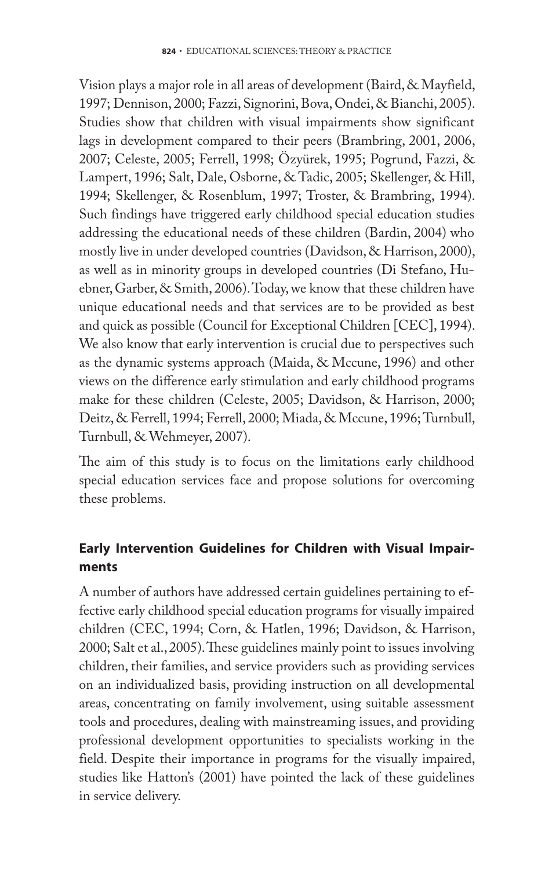Vision plays a major role in all areas of development (Baird, & Mayfield, 1997; Dennison, 2000; Fazzi, Signorini, Bova, Ondei, & Bianchi, 2005). Studies show that children with visual impairments show significant lags in development compared to their peers (Brambring, 2001, 2006, 2007; Celeste, 2005; Ferrell, 1998; Özyürek, 1995; Pogrund, Fazzi, & Lampert, 1996; Salt, Dale, Osborne, & Tadic, 2005; Skellenger, & Hill, 1994; Skellenger, & Rosenblum, 1997; Troster, & Brambring, 1994). Such findings have triggered early childhood special education studies addressing the educational needs of these children (Bardin, 2004) who mostly live in under developed countries (Davidson, & Harrison, 2000), as well as in minority groups in developed countries (Di Stefano, Huebner, Garber, & Smith, 2006). Today, we know that these children have unique educational needs and that services are to be provided as best and quick as possible (Council for Exceptional Children [CEC], 1994). We also know that early intervention is crucial due to perspectives such as the dynamic systems approach (Maida, & Mccune, 1996) and other views on the difference early stimulation and early childhood programs make for these children (Celeste, 2005; Davidson, & Harrison, 2000; Deitz, & Ferrell, 1994; Ferrell, 2000; Miada, & Mccune, 1996; Turnbull, Turnbull, & Wehmeyer, 2007).

The aim of this study is to focus on the limitations early childhood special education services face and propose solutions for overcoming these problems.

## **Early Intervention Guidelines for Children with Visual Impairments**

A number of authors have addressed certain guidelines pertaining to effective early childhood special education programs for visually impaired children (CEC, 1994; Corn, & Hatlen, 1996; Davidson, & Harrison, 2000; Salt et al., 2005). These guidelines mainly point to issues involving children, their families, and service providers such as providing services on an individualized basis, providing instruction on all developmental areas, concentrating on family involvement, using suitable assessment tools and procedures, dealing with mainstreaming issues, and providing professional development opportunities to specialists working in the field. Despite their importance in programs for the visually impaired, studies like Hatton's (2001) have pointed the lack of these guidelines in service delivery.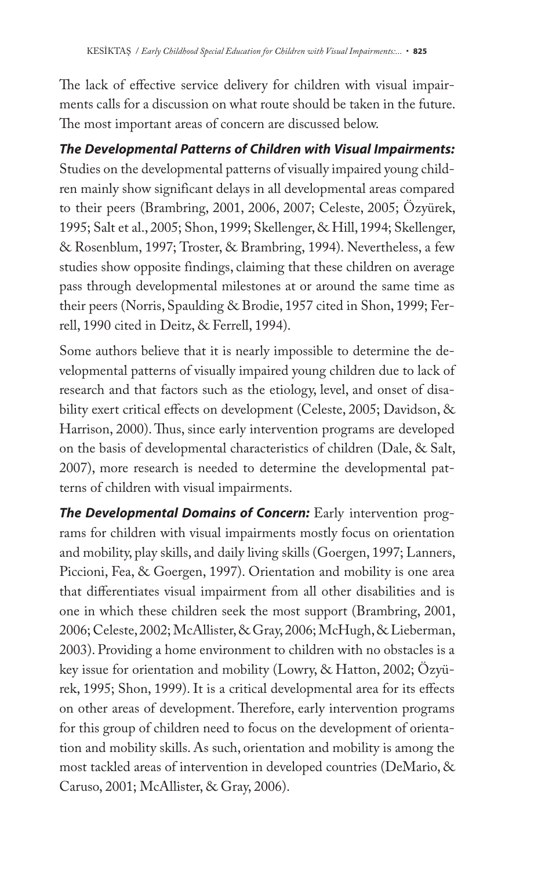The lack of effective service delivery for children with visual impairments calls for a discussion on what route should be taken in the future. The most important areas of concern are discussed below.

# *The Developmental Patterns of Children with Visual Impairments:*

Studies on the developmental patterns of visually impaired young children mainly show significant delays in all developmental areas compared to their peers (Brambring, 2001, 2006, 2007; Celeste, 2005; Özyürek, 1995; Salt et al., 2005; Shon, 1999; Skellenger, & Hill, 1994; Skellenger, & Rosenblum, 1997; Troster, & Brambring, 1994). Nevertheless, a few studies show opposite findings, claiming that these children on average pass through developmental milestones at or around the same time as their peers (Norris, Spaulding & Brodie, 1957 cited in Shon, 1999; Ferrell, 1990 cited in Deitz, & Ferrell, 1994).

Some authors believe that it is nearly impossible to determine the developmental patterns of visually impaired young children due to lack of research and that factors such as the etiology, level, and onset of disability exert critical effects on development (Celeste, 2005; Davidson, & Harrison, 2000). Thus, since early intervention programs are developed on the basis of developmental characteristics of children (Dale, & Salt, 2007), more research is needed to determine the developmental patterns of children with visual impairments.

*The Developmental Domains of Concern:* Early intervention programs for children with visual impairments mostly focus on orientation and mobility, play skills, and daily living skills (Goergen, 1997; Lanners, Piccioni, Fea, & Goergen, 1997). Orientation and mobility is one area that differentiates visual impairment from all other disabilities and is one in which these children seek the most support (Brambring, 2001, 2006; Celeste, 2002; McAllister, & Gray, 2006; McHugh, & Lieberman, 2003). Providing a home environment to children with no obstacles is a key issue for orientation and mobility (Lowry, & Hatton, 2002; Özyürek, 1995; Shon, 1999). It is a critical developmental area for its effects on other areas of development. Therefore, early intervention programs for this group of children need to focus on the development of orientation and mobility skills. As such, orientation and mobility is among the most tackled areas of intervention in developed countries (DeMario, & Caruso, 2001; McAllister, & Gray, 2006).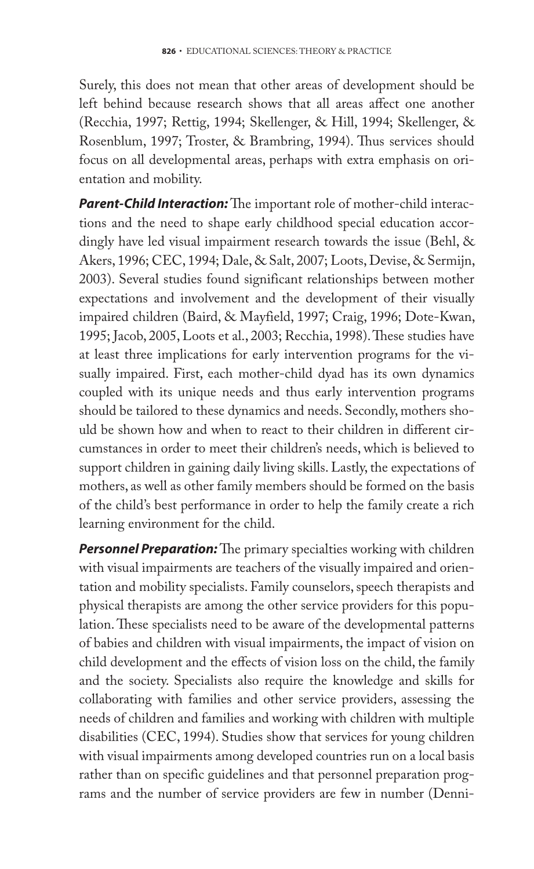Surely, this does not mean that other areas of development should be left behind because research shows that all areas affect one another (Recchia, 1997; Rettig, 1994; Skellenger, & Hill, 1994; Skellenger, & Rosenblum, 1997; Troster, & Brambring, 1994). Thus services should focus on all developmental areas, perhaps with extra emphasis on orientation and mobility.

Parent-Child Interaction: The important role of mother-child interactions and the need to shape early childhood special education accordingly have led visual impairment research towards the issue (Behl, & Akers, 1996; CEC, 1994; Dale, & Salt, 2007; Loots, Devise, & Sermijn, 2003). Several studies found significant relationships between mother expectations and involvement and the development of their visually impaired children (Baird, & Mayfield, 1997; Craig, 1996; Dote-Kwan, 1995; Jacob, 2005, Loots et al., 2003; Recchia, 1998). These studies have at least three implications for early intervention programs for the visually impaired. First, each mother-child dyad has its own dynamics coupled with its unique needs and thus early intervention programs should be tailored to these dynamics and needs. Secondly, mothers should be shown how and when to react to their children in different circumstances in order to meet their children's needs, which is believed to support children in gaining daily living skills. Lastly, the expectations of mothers, as well as other family members should be formed on the basis of the child's best performance in order to help the family create a rich learning environment for the child.

Personnel Preparation: The primary specialties working with children with visual impairments are teachers of the visually impaired and orientation and mobility specialists. Family counselors, speech therapists and physical therapists are among the other service providers for this population. These specialists need to be aware of the developmental patterns of babies and children with visual impairments, the impact of vision on child development and the effects of vision loss on the child, the family and the society. Specialists also require the knowledge and skills for collaborating with families and other service providers, assessing the needs of children and families and working with children with multiple disabilities (CEC, 1994). Studies show that services for young children with visual impairments among developed countries run on a local basis rather than on specific guidelines and that personnel preparation programs and the number of service providers are few in number (Denni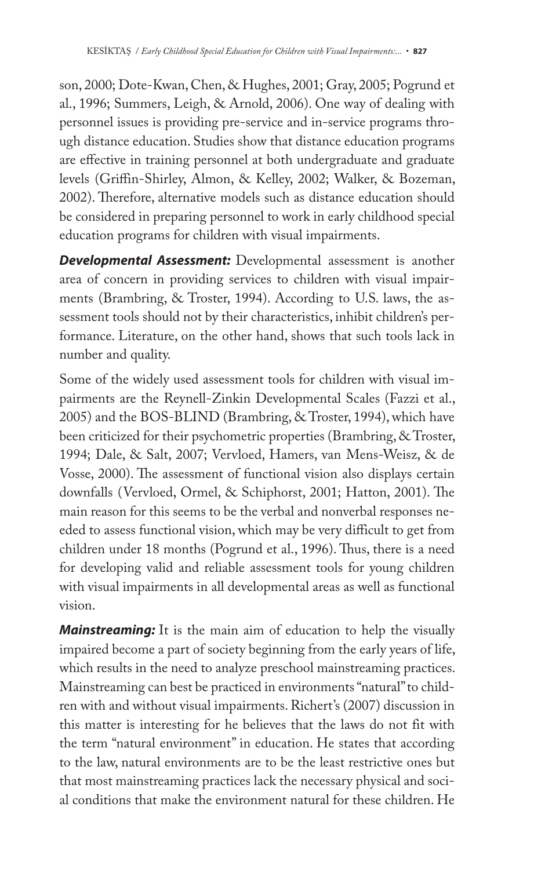son, 2000; Dote-Kwan, Chen, & Hughes, 2001; Gray, 2005; Pogrund et al., 1996; Summers, Leigh, & Arnold, 2006). One way of dealing with personnel issues is providing pre-service and in-service programs through distance education. Studies show that distance education programs are effective in training personnel at both undergraduate and graduate levels (Griffin-Shirley, Almon, & Kelley, 2002; Walker, & Bozeman, 2002). Therefore, alternative models such as distance education should be considered in preparing personnel to work in early childhood special education programs for children with visual impairments.

*Developmental Assessment:* Developmental assessment is another area of concern in providing services to children with visual impairments (Brambring, & Troster, 1994). According to U.S. laws, the assessment tools should not by their characteristics, inhibit children's performance. Literature, on the other hand, shows that such tools lack in number and quality.

Some of the widely used assessment tools for children with visual impairments are the Reynell-Zinkin Developmental Scales (Fazzi et al., 2005) and the BOS-BLIND (Brambring, & Troster, 1994), which have been criticized for their psychometric properties (Brambring, & Troster, 1994; Dale, & Salt, 2007; Vervloed, Hamers, van Mens-Weisz, & de Vosse, 2000). The assessment of functional vision also displays certain downfalls (Vervloed, Ormel, & Schiphorst, 2001; Hatton, 2001). The main reason for this seems to be the verbal and nonverbal responses needed to assess functional vision, which may be very difficult to get from children under 18 months (Pogrund et al., 1996). Thus, there is a need for developing valid and reliable assessment tools for young children with visual impairments in all developmental areas as well as functional vision.

*Mainstreaming:* It is the main aim of education to help the visually impaired become a part of society beginning from the early years of life, which results in the need to analyze preschool mainstreaming practices. Mainstreaming can best be practiced in environments "natural" to children with and without visual impairments. Richert's (2007) discussion in this matter is interesting for he believes that the laws do not fit with the term "natural environment" in education. He states that according to the law, natural environments are to be the least restrictive ones but that most mainstreaming practices lack the necessary physical and social conditions that make the environment natural for these children. He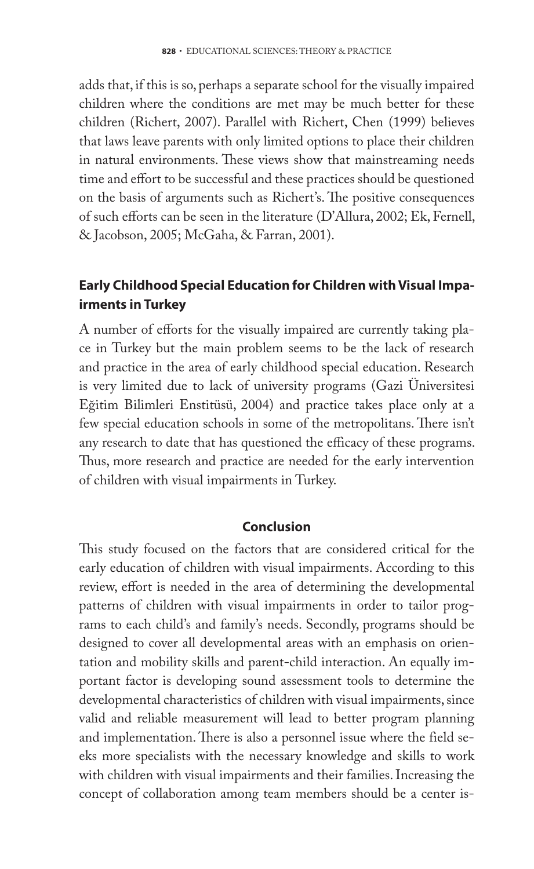adds that, if this is so, perhaps a separate school for the visually impaired children where the conditions are met may be much better for these children (Richert, 2007). Parallel with Richert, Chen (1999) believes that laws leave parents with only limited options to place their children in natural environments. These views show that mainstreaming needs time and effort to be successful and these practices should be questioned on the basis of arguments such as Richert's. The positive consequences of such efforts can be seen in the literature (D'Allura, 2002; Ek, Fernell, & Jacobson, 2005; McGaha, & Farran, 2001).

## **Early Childhood Special Education for Children with Visual Impairments in Turkey**

A number of efforts for the visually impaired are currently taking place in Turkey but the main problem seems to be the lack of research and practice in the area of early childhood special education. Research is very limited due to lack of university programs (Gazi Üniversitesi Eğitim Bilimleri Enstitüsü, 2004) and practice takes place only at a few special education schools in some of the metropolitans. There isn't any research to date that has questioned the efficacy of these programs. Thus, more research and practice are needed for the early intervention of children with visual impairments in Turkey.

### **Conclusion**

This study focused on the factors that are considered critical for the early education of children with visual impairments. According to this review, effort is needed in the area of determining the developmental patterns of children with visual impairments in order to tailor programs to each child's and family's needs. Secondly, programs should be designed to cover all developmental areas with an emphasis on orientation and mobility skills and parent-child interaction. An equally important factor is developing sound assessment tools to determine the developmental characteristics of children with visual impairments, since valid and reliable measurement will lead to better program planning and implementation. There is also a personnel issue where the field seeks more specialists with the necessary knowledge and skills to work with children with visual impairments and their families. Increasing the concept of collaboration among team members should be a center is-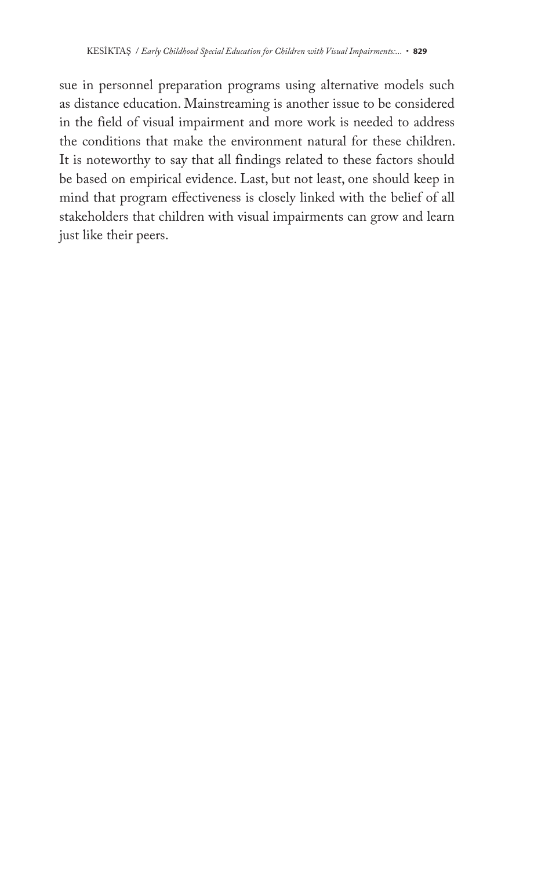sue in personnel preparation programs using alternative models such as distance education. Mainstreaming is another issue to be considered in the field of visual impairment and more work is needed to address the conditions that make the environment natural for these children. It is noteworthy to say that all findings related to these factors should be based on empirical evidence. Last, but not least, one should keep in mind that program effectiveness is closely linked with the belief of all stakeholders that children with visual impairments can grow and learn just like their peers.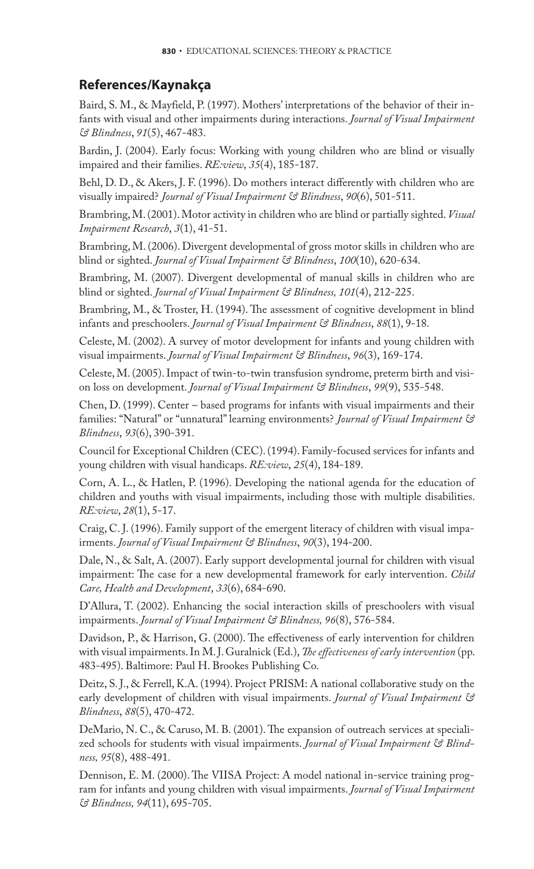### **References/Kaynakça**

Baird, S. M., & Mayfield, P. (1997). Mothers' interpretations of the behavior of their infants with visual and other impairments during interactions. *Journal of Visual Impairment & Blindness*, *91*(5), 467-483.

Bardin, J. (2004). Early focus: Working with young children who are blind or visually impaired and their families. *RE:view*, *35*(4), 185-187.

Behl, D. D., & Akers, J. F. (1996). Do mothers interact differently with children who are visually impaired? *Journal of Visual Impairment & Blindness*, *90*(6), 501-511.

Brambring, M. (2001). Motor activity in children who are blind or partially sighted. *Visual Impairment Research*, *3*(1), 41-51.

Brambring, M. (2006). Divergent developmental of gross motor skills in children who are blind or sighted. *Journal of Visual Impairment & Blindness*, *100*(10), 620-634.

Brambring, M. (2007). Divergent developmental of manual skills in children who are blind or sighted. *Journal of Visual Impairment & Blindness, 101*(4), 212-225.

Brambring, M., & Troster, H. (1994). The assessment of cognitive development in blind infants and preschoolers. *Journal of Visual Impairment & Blindness*, *88*(1), 9-18.

Celeste, M. (2002). A survey of motor development for infants and young children with visual impairments. *Journal of Visual Impairment & Blindness*, *96*(3), 169-174.

Celeste, M. (2005). Impact of twin-to-twin transfusion syndrome, preterm birth and vision loss on development. *Journal of Visual Impairment & Blindness*, *99*(9), 535-548.

Chen, D. (1999). Center – based programs for infants with visual impairments and their families: "Natural" or "unnatural" learning environments? *Journal of Visual Impairment & Blindness*, *93*(6), 390-391.

Council for Exceptional Children (CEC). (1994). Family-focused services for infants and young children with visual handicaps. *RE:view*, *25*(4), 184-189.

Corn, A. L., & Hatlen, P. (1996). Developing the national agenda for the education of children and youths with visual impairments, including those with multiple disabilities. *RE:view*, *28*(1), 5-17.

Craig, C. J. (1996). Family support of the emergent literacy of children with visual impairments. *Journal of Visual Impairment & Blindness*, *90*(3), 194-200.

Dale, N., & Salt, A. (2007). Early support developmental journal for children with visual impairment: The case for a new developmental framework for early intervention. *Child Care, Health and Development*, *33*(6), 684-690.

D'Allura, T. (2002). Enhancing the social interaction skills of preschoolers with visual impairments. *Journal of Visual Impairment & Blindness, 96*(8), 576-584.

Davidson, P., & Harrison, G. (2000). The effectiveness of early intervention for children with visual impairments. In M.J. Guralnick (Ed.), *The effectiveness of early intervention* (pp. 483-495). Baltimore: Paul H. Brookes Publishing Co.

Deitz, S. J., & Ferrell, K.A. (1994). Project PRISM: A national collaborative study on the early development of children with visual impairments. *Journal of Visual Impairment & Blindness*, *88*(5), 470-472.

DeMario, N. C., & Caruso, M. B. (2001). The expansion of outreach services at specialized schools for students with visual impairments. *Journal of Visual Impairment & Blindness, 95*(8), 488-491.

Dennison, E. M. (2000). The VIISA Project: A model national in-service training program for infants and young children with visual impairments. *Journal of Visual Impairment & Blindness, 94*(11), 695-705.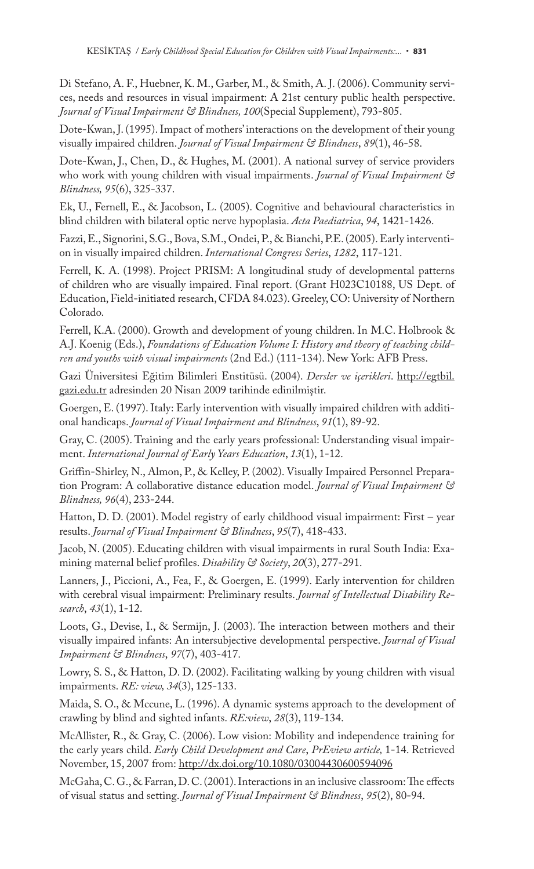Di Stefano, A. F., Huebner, K. M., Garber, M., & Smith, A. J. (2006). Community services, needs and resources in visual impairment: A 21st century public health perspective. *Journal of Visual Impairment & Blindness, 100*(Special Supplement), 793-805.

Dote-Kwan, J. (1995). Impact of mothers' interactions on the development of their young visually impaired children. *Journal of Visual Impairment & Blindness*, *89*(1), 46-58.

Dote-Kwan, J., Chen, D., & Hughes, M. (2001). A national survey of service providers who work with young children with visual impairments. *Journal of Visual Impairment & Blindness, 95*(6), 325-337.

Ek, U., Fernell, E., & Jacobson, L. (2005). Cognitive and behavioural characteristics in blind children with bilateral optic nerve hypoplasia. *Acta Paediatrica*, *94*, 1421-1426.

Fazzi, E., Signorini, S.G., Bova, S.M., Ondei, P., & Bianchi, P.E. (2005). Early intervention in visually impaired children. *International Congress Series*, *1282*, 117-121.

Ferrell, K. A. (1998). Project PRISM: A longitudinal study of developmental patterns of children who are visually impaired. Final report. (Grant H023C10188, US Dept. of Education, Field-initiated research, CFDA 84.023). Greeley, CO: University of Northern Colorado.

Ferrell, K.A. (2000). Growth and development of young children. In M.C. Holbrook & A.J. Koenig (Eds.), *Foundations of Education Volume I: History and theory of teaching children and youths with visual impairments* (2nd Ed.) (111-134). New York: AFB Press.

Gazi Üniversitesi Eğitim Bilimleri Enstitüsü. (2004). *Dersler ve içerikleri*. http://egtbil. gazi.edu.tr adresinden 20 Nisan 2009 tarihinde edinilmiştir.

Goergen, E. (1997). Italy: Early intervention with visually impaired children with additional handicaps. *Journal of Visual Impairment and Blindness*, *91*(1), 89-92.

Gray, C. (2005). Training and the early years professional: Understanding visual impairment. *International Journal of Early Years Education*, *13*(1), 1-12.

Griffin-Shirley, N., Almon, P., & Kelley, P. (2002). Visually Impaired Personnel Preparation Program: A collaborative distance education model. *Journal of Visual Impairment & Blindness, 96*(4), 233-244.

Hatton, D. D. (2001). Model registry of early childhood visual impairment: First – year results. *Journal of Visual Impairment & Blindness*, *95*(7), 418-433.

Jacob, N. (2005). Educating children with visual impairments in rural South India: Examining maternal belief profiles. *Disability & Society*, *20*(3), 277-291.

Lanners, J., Piccioni, A., Fea, F., & Goergen, E. (1999). Early intervention for children with cerebral visual impairment: Preliminary results. *Journal of Intellectual Disability Research*, *43*(1), 1-12.

Loots, G., Devise, I., & Sermijn, J. (2003). The interaction between mothers and their visually impaired infants: An intersubjective developmental perspective. *Journal of Visual Impairment & Blindness*, *97*(7), 403-417.

Lowry, S. S., & Hatton, D. D. (2002). Facilitating walking by young children with visual impairments. *RE: view, 34*(3), 125-133.

Maida, S. O., & Mccune, L. (1996). A dynamic systems approach to the development of crawling by blind and sighted infants. *RE:view*, *28*(3), 119-134.

McAllister, R., & Gray, C. (2006). Low vision: Mobility and independence training for the early years child. *Early Child Development and Care*, *PrEview article,* 1-14. Retrieved November, 15, 2007 from: http://dx.doi.org/10.1080/03004430600594096

McGaha, C. G., & Farran, D. C. (2001). Interactions in an inclusive classroom: The effects of visual status and setting. *Journal of Visual Impairment & Blindness*, *95*(2), 80-94.